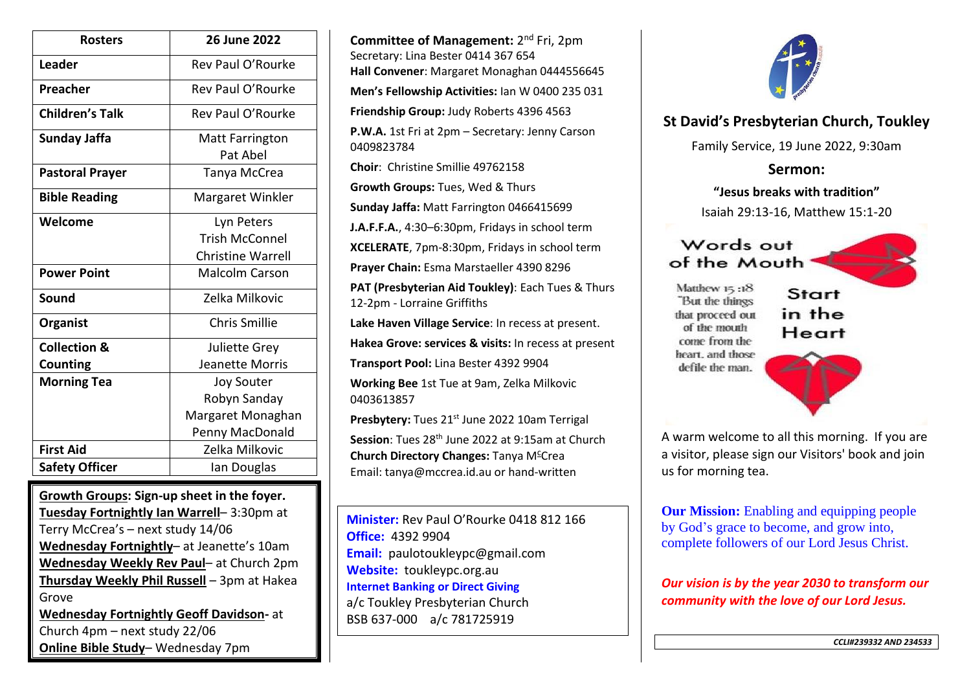| <b>Rosters</b>          | <b>26 June 2022</b>      |
|-------------------------|--------------------------|
| Leader                  | Rev Paul O'Rourke        |
| Preacher                | Rev Paul O'Rourke        |
| <b>Children's Talk</b>  | Rev Paul O'Rourke        |
| <b>Sunday Jaffa</b>     | <b>Matt Farrington</b>   |
|                         | Pat Abel                 |
| <b>Pastoral Prayer</b>  | Tanya McCrea             |
| <b>Bible Reading</b>    | Margaret Winkler         |
| Welcome                 | Lyn Peters               |
|                         | <b>Trish McConnel</b>    |
|                         | <b>Christine Warrell</b> |
| <b>Power Point</b>      | <b>Malcolm Carson</b>    |
| Sound                   | Zelka Milkovic           |
| Organist                | <b>Chris Smillie</b>     |
| <b>Collection &amp;</b> | <b>Juliette Grey</b>     |
| Counting                | Jeanette Morris          |
| <b>Morning Tea</b>      | <b>Joy Souter</b>        |
|                         | Robyn Sanday             |
|                         | Margaret Monaghan        |
|                         | Penny MacDonald          |
| <b>First Aid</b>        | Zelka Milkovic           |
| <b>Safety Officer</b>   | Ian Douglas              |

**Growth Groups: Sign-up sheet in the foyer. Tuesday Fortnightly Ian Warrell**– 3:30pm at Terry McCrea's – next study 14/06 **Wednesday Fortnightly**– at Jeanette's 10am **Wednesday Weekly Rev Paul**– at Church 2pm **Thursday Weekly Phil Russell** – 3pm at Hakea Grove **Wednesday Fortnightly Geoff Davidson-** at Church 4pm – next study 22/06

**Online Bible Study**– Wednesday 7pm

**Committee of Management:** 2<sup>nd</sup> Fri, 2pm Secretary: Lina Bester 0414 367 654 **Hall Convener**: Margaret Monaghan 0444556645 **Men's Fellowship Activities:** Ian W 0400 235 031 **Friendship Group:** Judy Roberts 4396 4563 **P.W.A.** 1st Fri at 2pm – Secretary: Jenny Carson 0409823784 **Choir**: Christine Smillie 49762158 **Growth Groups:** Tues, Wed & Thurs **Sunday Jaffa:** Matt Farrington 0466415699 **J.A.F.F.A.**, 4:30–6:30pm, Fridays in school term **XCELERATE**, 7pm-8:30pm, Fridays in school term **Prayer Chain:** Esma Marstaeller 4390 8296 **PAT (Presbyterian Aid Toukley)**: Each Tues & Thurs 12-2pm - Lorraine Griffiths **Lake Haven Village Service**: In recess at present. **Hakea Grove: services & visits:** In recess at present **Transport Pool:** Lina Bester 4392 9904 **Working Bee** 1st Tue at 9am, Zelka Milkovic 0403613857 Presbytery: Tues 21<sup>st</sup> June 2022 10am Terrigal **Session**: Tues 28<sup>th</sup> June 2022 at 9:15am at Church **Church Directory Changes: Tanya M<sup>c</sup>Crea** Email: tanya@mccrea.id.au or hand-written

**Minister:** Rev Paul O'Rourke 0418 812 166 **Office:** 4392 9904 **Email:** paulotoukleypc@gmail.com **Website:** toukleypc.org.au **Internet Banking or Direct Giving** a/c Toukley Presbyterian Church BSB 637-000 a/c 781725919



## **St David's Presbyterian Church, Toukley**

Family Service, 19 June 2022, 9:30am

**Sermon:**

**"Jesus breaks with tradition"** Isaiah 29:13-16, Matthew 15:1-20

## Words out of the Mouth

Matthew 15:18 "But the things that proceed out of the mouth come from the heart, and those defile the man.

Start in the Heart

A warm welcome to all this morning. If you are

a visitor, please sign our Visitors' book and join us for morning tea.

**Our Mission:** Enabling and equipping people by God's grace to become, and grow into, complete followers of our Lord Jesus Christ.

*Our vision is by the year 2030 to transform our community with the love of our Lord Jesus.*